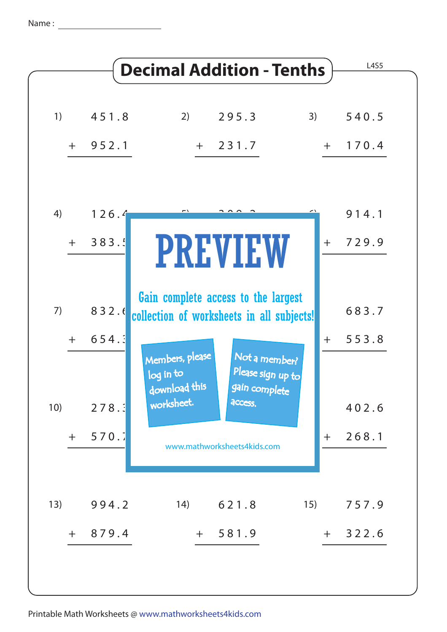